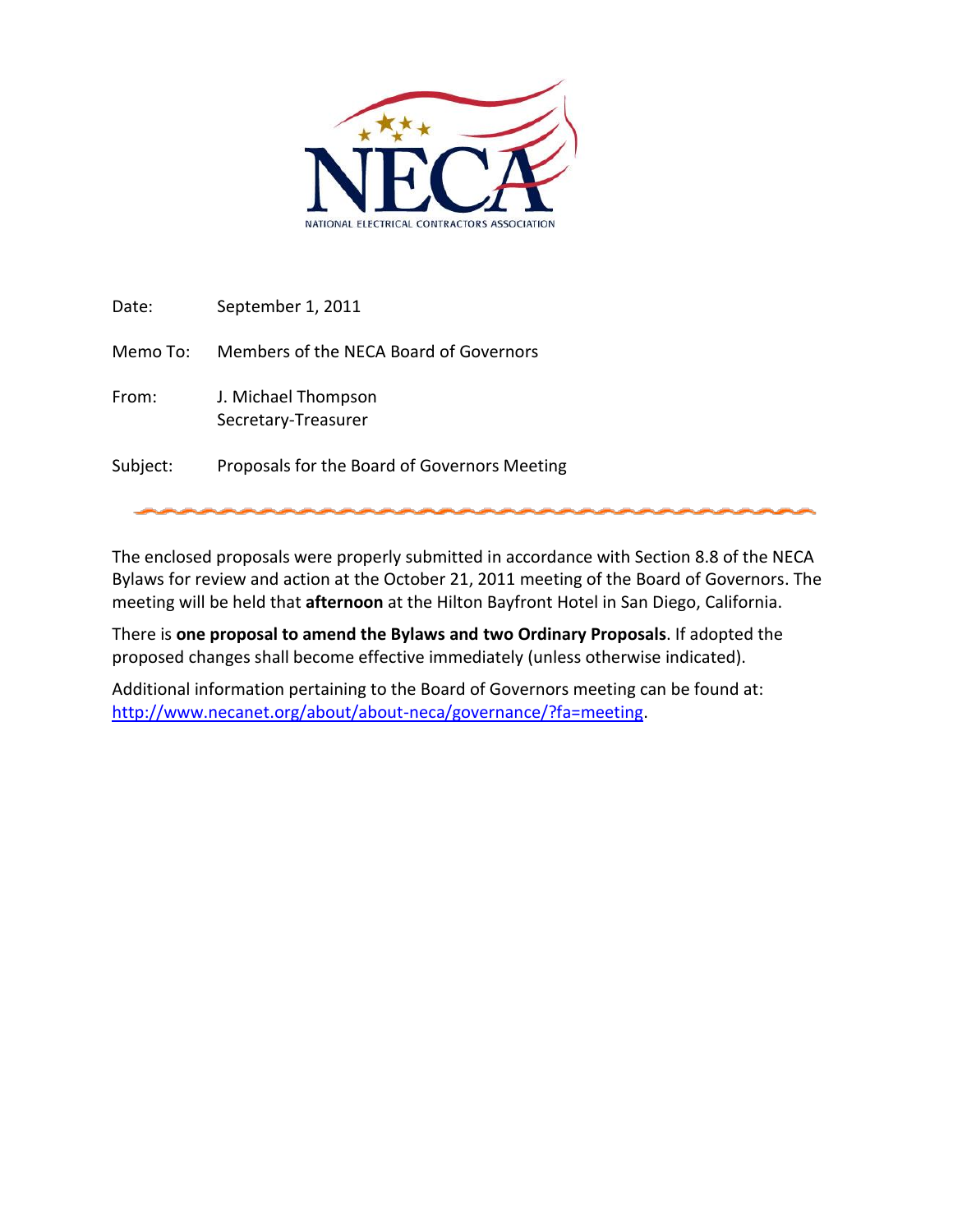

Date: September 1, 2011

Memo To: Members of the NECA Board of Governors

- From: J. Michael Thompson Secretary-Treasurer
- Subject: Proposals for the Board of Governors Meeting

The enclosed proposals were properly submitted in accordance with Section 8.8 of the NECA Bylaws for review and action at the October 21, 2011 meeting of the Board of Governors. The meeting will be held that **afternoon** at the Hilton Bayfront Hotel in San Diego, California.

There is **one proposal to amend the Bylaws and two Ordinary Proposals**. If adopted the proposed changes shall become effective immediately (unless otherwise indicated).

Additional information pertaining to the Board of Governors meeting can be found at: [http://www.necanet.org/about/about-neca/governance/?fa=meeting.](http://www.necanet.org/about/about-neca/governance/?fa=meeting)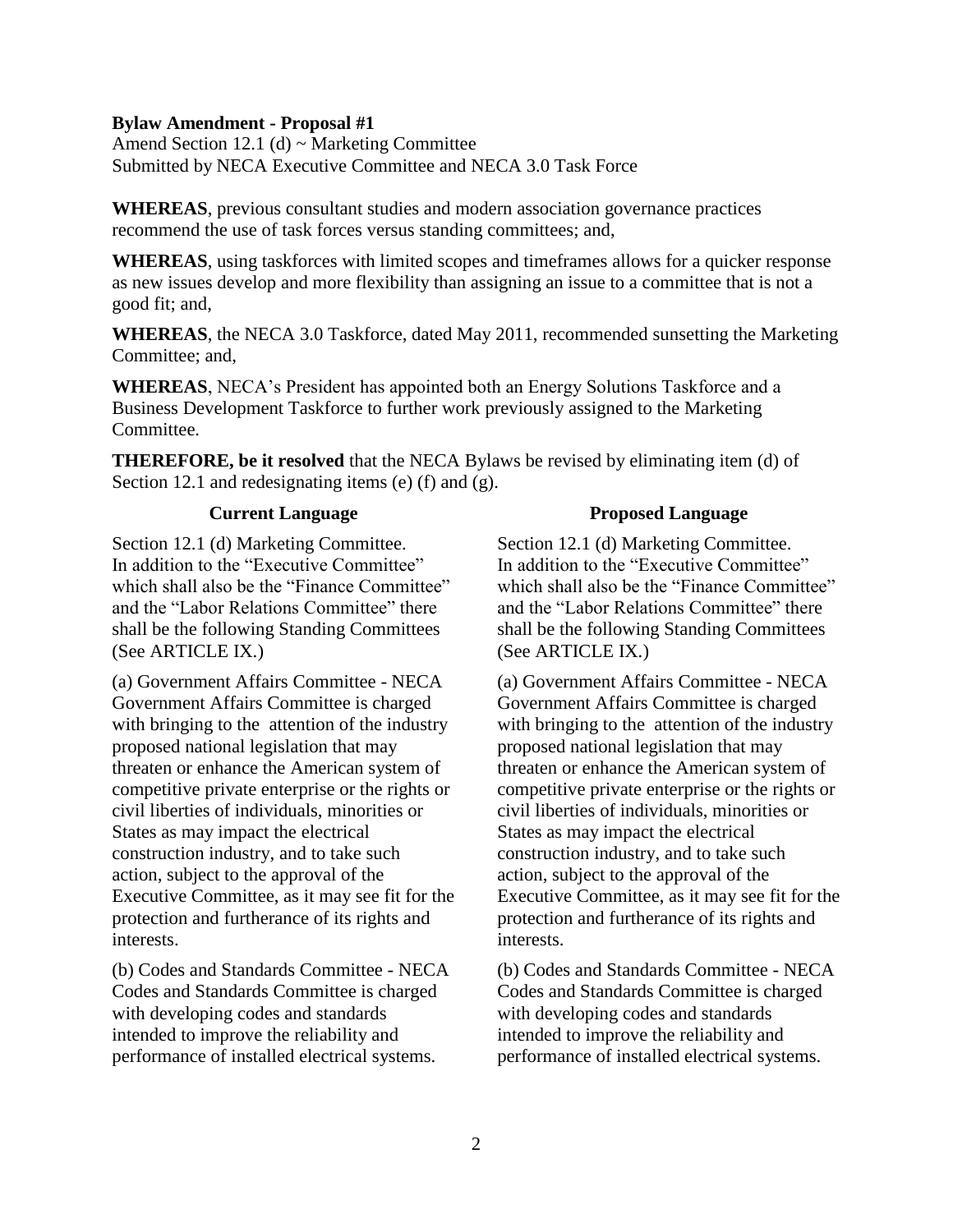## **Bylaw Amendment - Proposal #1**

Amend Section 12.1 (d) ~ Marketing Committee Submitted by NECA Executive Committee and NECA 3.0 Task Force

**WHEREAS**, previous consultant studies and modern association governance practices recommend the use of task forces versus standing committees; and,

**WHEREAS**, using taskforces with limited scopes and timeframes allows for a quicker response as new issues develop and more flexibility than assigning an issue to a committee that is not a good fit; and,

**WHEREAS**, the NECA 3.0 Taskforce, dated May 2011, recommended sunsetting the Marketing Committee; and,

**WHEREAS**, NECA's President has appointed both an Energy Solutions Taskforce and a Business Development Taskforce to further work previously assigned to the Marketing Committee.

**THEREFORE, be it resolved** that the NECA Bylaws be revised by eliminating item (d) of Section 12.1 and redesignating items (e) (f) and (g).

## **Current Language**

Section 12.1 (d) Marketing Committee. In addition to the "Executive Committee" which shall also be the "Finance Committee" and the "Labor Relations Committee" there shall be the following Standing Committees (See ARTICLE IX.)

(a) Government Affairs Committee - NECA Government Affairs Committee is charged with bringing to the attention of the industry proposed national legislation that may threaten or enhance the American system of competitive private enterprise or the rights or civil liberties of individuals, minorities or States as may impact the electrical construction industry, and to take such action, subject to the approval of the Executive Committee, as it may see fit for the protection and furtherance of its rights and interests.

(b) Codes and Standards Committee - NECA Codes and Standards Committee is charged with developing codes and standards intended to improve the reliability and performance of installed electrical systems.

## **Proposed Language**

Section 12.1 (d) Marketing Committee. In addition to the "Executive Committee" which shall also be the "Finance Committee" and the "Labor Relations Committee" there shall be the following Standing Committees (See ARTICLE IX.)

(a) Government Affairs Committee - NECA Government Affairs Committee is charged with bringing to the attention of the industry proposed national legislation that may threaten or enhance the American system of competitive private enterprise or the rights or civil liberties of individuals, minorities or States as may impact the electrical construction industry, and to take such action, subject to the approval of the Executive Committee, as it may see fit for the protection and furtherance of its rights and interests.

(b) Codes and Standards Committee - NECA Codes and Standards Committee is charged with developing codes and standards intended to improve the reliability and performance of installed electrical systems.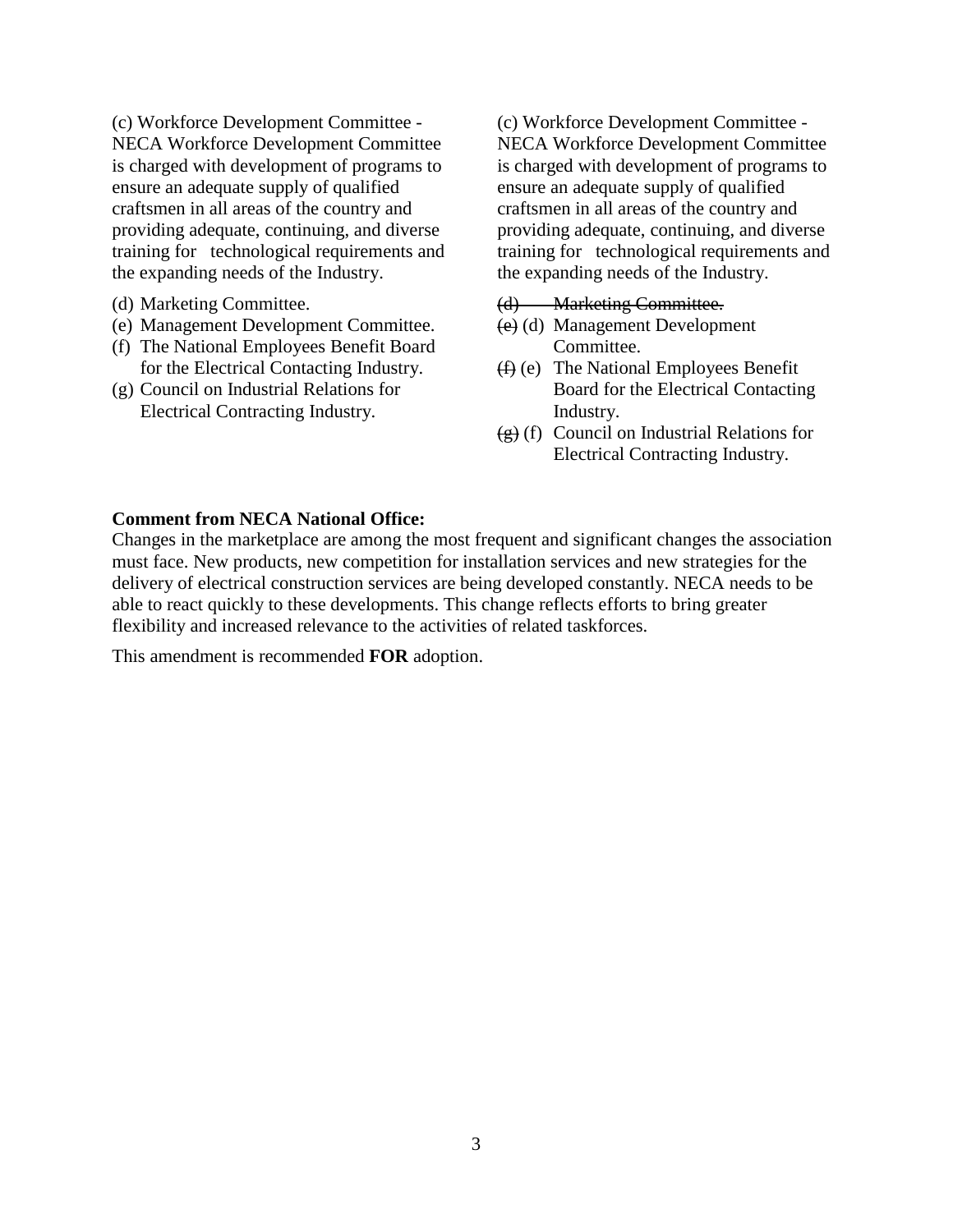(c) Workforce Development Committee - NECA Workforce Development Committee is charged with development of programs to ensure an adequate supply of qualified craftsmen in all areas of the country and providing adequate, continuing, and diverse training for technological requirements and the expanding needs of the Industry.

- (d) Marketing Committee.
- (e) Management Development Committee.
- (f) The National Employees Benefit Board for the Electrical Contacting Industry.
- (g) Council on Industrial Relations for Electrical Contracting Industry.

(c) Workforce Development Committee - NECA Workforce Development Committee is charged with development of programs to ensure an adequate supply of qualified craftsmen in all areas of the country and providing adequate, continuing, and diverse training for technological requirements and the expanding needs of the Industry.

### (d) Marketing Committee.

- (e) (d) Management Development Committee.
- (f) (e) The National Employees Benefit Board for the Electrical Contacting Industry.
- $(g)$  (f) Council on Industrial Relations for Electrical Contracting Industry.

### **Comment from NECA National Office:**

Changes in the marketplace are among the most frequent and significant changes the association must face. New products, new competition for installation services and new strategies for the delivery of electrical construction services are being developed constantly. NECA needs to be able to react quickly to these developments. This change reflects efforts to bring greater flexibility and increased relevance to the activities of related taskforces.

This amendment is recommended **FOR** adoption.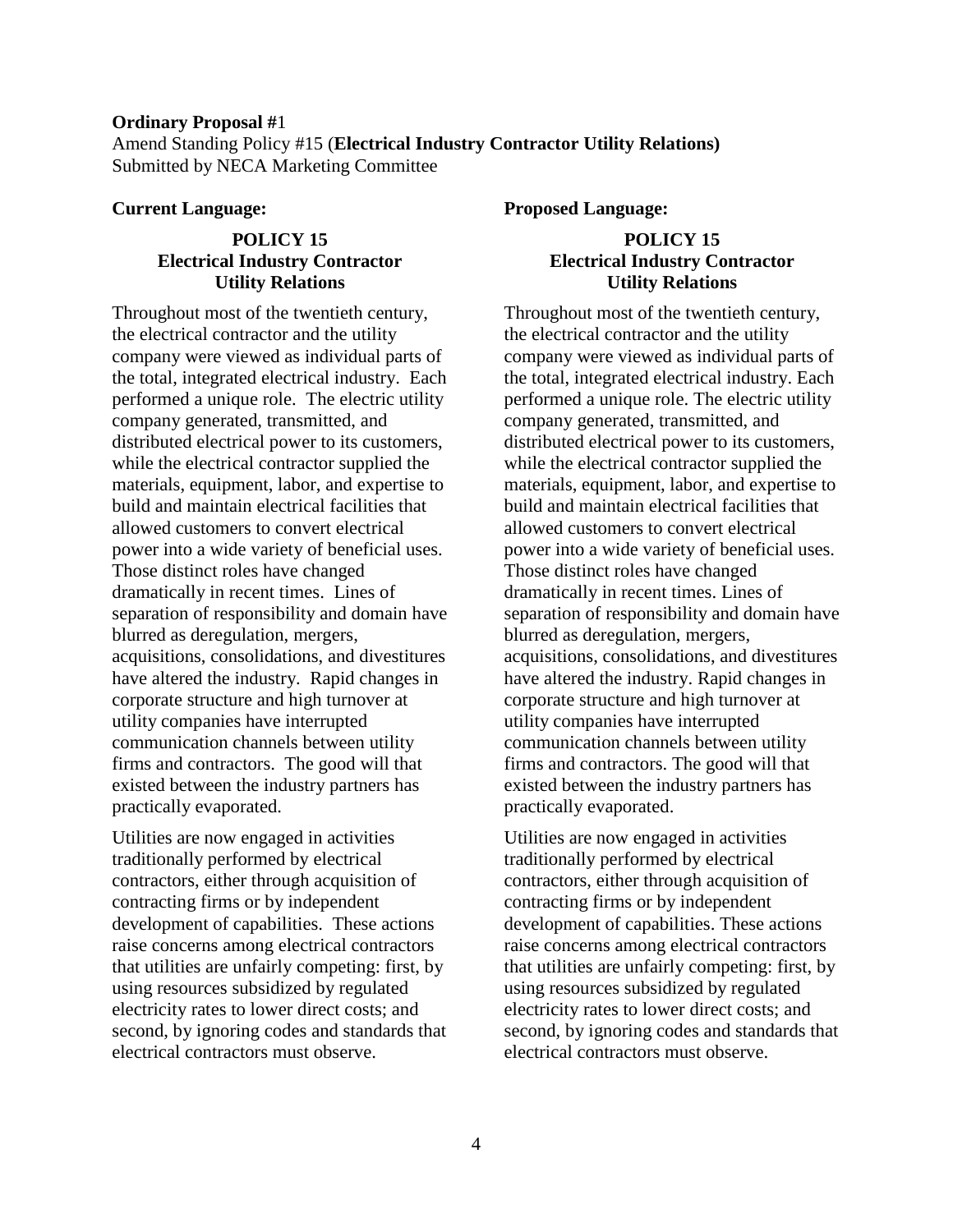### **Ordinary Proposal #**1

Amend Standing Policy #15 (**Electrical Industry Contractor Utility Relations)** Submitted by NECA Marketing Committee

#### **Current Language:**

# **POLICY 15 Electrical Industry Contractor Utility Relations**

Throughout most of the twentieth century, the electrical contractor and the utility company were viewed as individual parts of the total, integrated electrical industry. Each performed a unique role. The electric utility company generated, transmitted, and distributed electrical power to its customers, while the electrical contractor supplied the materials, equipment, labor, and expertise to build and maintain electrical facilities that allowed customers to convert electrical power into a wide variety of beneficial uses. Those distinct roles have changed dramatically in recent times. Lines of separation of responsibility and domain have blurred as deregulation, mergers, acquisitions, consolidations, and divestitures have altered the industry. Rapid changes in corporate structure and high turnover at utility companies have interrupted communication channels between utility firms and contractors. The good will that existed between the industry partners has practically evaporated.

Utilities are now engaged in activities traditionally performed by electrical contractors, either through acquisition of contracting firms or by independent development of capabilities. These actions raise concerns among electrical contractors that utilities are unfairly competing: first, by using resources subsidized by regulated electricity rates to lower direct costs; and second, by ignoring codes and standards that electrical contractors must observe.

**Proposed Language:**

# **POLICY 15 Electrical Industry Contractor Utility Relations**

Throughout most of the twentieth century, the electrical contractor and the utility company were viewed as individual parts of the total, integrated electrical industry. Each performed a unique role. The electric utility company generated, transmitted, and distributed electrical power to its customers, while the electrical contractor supplied the materials, equipment, labor, and expertise to build and maintain electrical facilities that allowed customers to convert electrical power into a wide variety of beneficial uses. Those distinct roles have changed dramatically in recent times. Lines of separation of responsibility and domain have blurred as deregulation, mergers, acquisitions, consolidations, and divestitures have altered the industry. Rapid changes in corporate structure and high turnover at utility companies have interrupted communication channels between utility firms and contractors. The good will that existed between the industry partners has practically evaporated.

Utilities are now engaged in activities traditionally performed by electrical contractors, either through acquisition of contracting firms or by independent development of capabilities. These actions raise concerns among electrical contractors that utilities are unfairly competing: first, by using resources subsidized by regulated electricity rates to lower direct costs; and second, by ignoring codes and standards that electrical contractors must observe.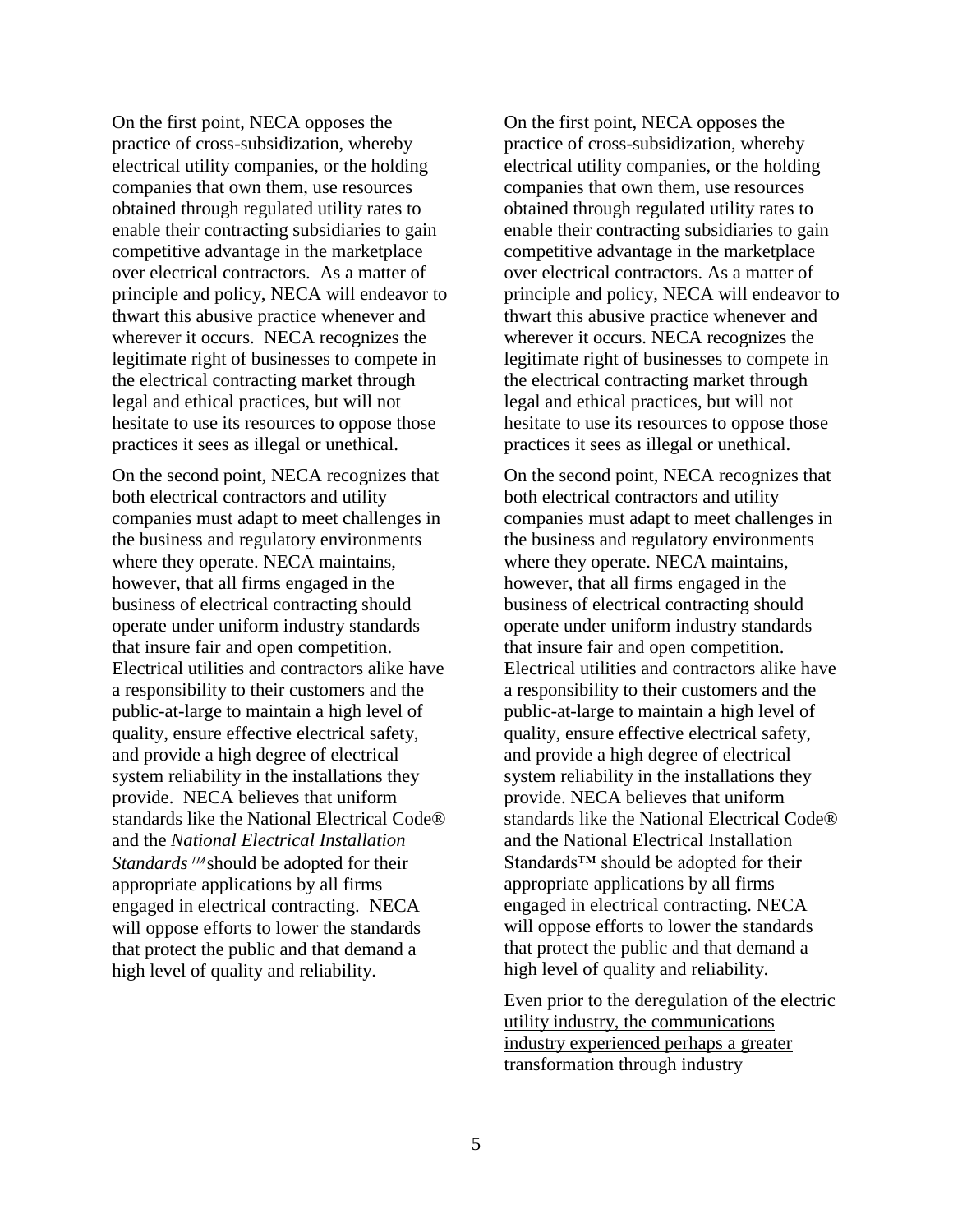On the first point, NECA opposes the practice of cross-subsidization, whereby electrical utility companies, or the holding companies that own them, use resources obtained through regulated utility rates to enable their contracting subsidiaries to gain competitive advantage in the marketplace over electrical contractors. As a matter of principle and policy, NECA will endeavor to thwart this abusive practice whenever and wherever it occurs. NECA recognizes the legitimate right of businesses to compete in the electrical contracting market through legal and ethical practices, but will not hesitate to use its resources to oppose those practices it sees as illegal or unethical.

On the second point, NECA recognizes that both electrical contractors and utility companies must adapt to meet challenges in the business and regulatory environments where they operate. NECA maintains, however, that all firms engaged in the business of electrical contracting should operate under uniform industry standards that insure fair and open competition. Electrical utilities and contractors alike have a responsibility to their customers and the public-at-large to maintain a high level of quality, ensure effective electrical safety, and provide a high degree of electrical system reliability in the installations they provide. NECA believes that uniform standards like the National Electrical Code® and the *National Electrical Installation Standards* ™ should be adopted for their appropriate applications by all firms engaged in electrical contracting. NECA will oppose efforts to lower the standards that protect the public and that demand a high level of quality and reliability.

On the first point, NECA opposes the practice of cross-subsidization, whereby electrical utility companies, or the holding companies that own them, use resources obtained through regulated utility rates to enable their contracting subsidiaries to gain competitive advantage in the marketplace over electrical contractors. As a matter of principle and policy, NECA will endeavor to thwart this abusive practice whenever and wherever it occurs. NECA recognizes the legitimate right of businesses to compete in the electrical contracting market through legal and ethical practices, but will not hesitate to use its resources to oppose those practices it sees as illegal or unethical.

On the second point, NECA recognizes that both electrical contractors and utility companies must adapt to meet challenges in the business and regulatory environments where they operate. NECA maintains, however, that all firms engaged in the business of electrical contracting should operate under uniform industry standards that insure fair and open competition. Electrical utilities and contractors alike have a responsibility to their customers and the public-at-large to maintain a high level of quality, ensure effective electrical safety, and provide a high degree of electrical system reliability in the installations they provide. NECA believes that uniform standards like the National Electrical Code® and the National Electrical Installation Standards™ should be adopted for their appropriate applications by all firms engaged in electrical contracting. NECA will oppose efforts to lower the standards that protect the public and that demand a high level of quality and reliability.

Even prior to the deregulation of the electric utility industry, the communications industry experienced perhaps a greater transformation through industry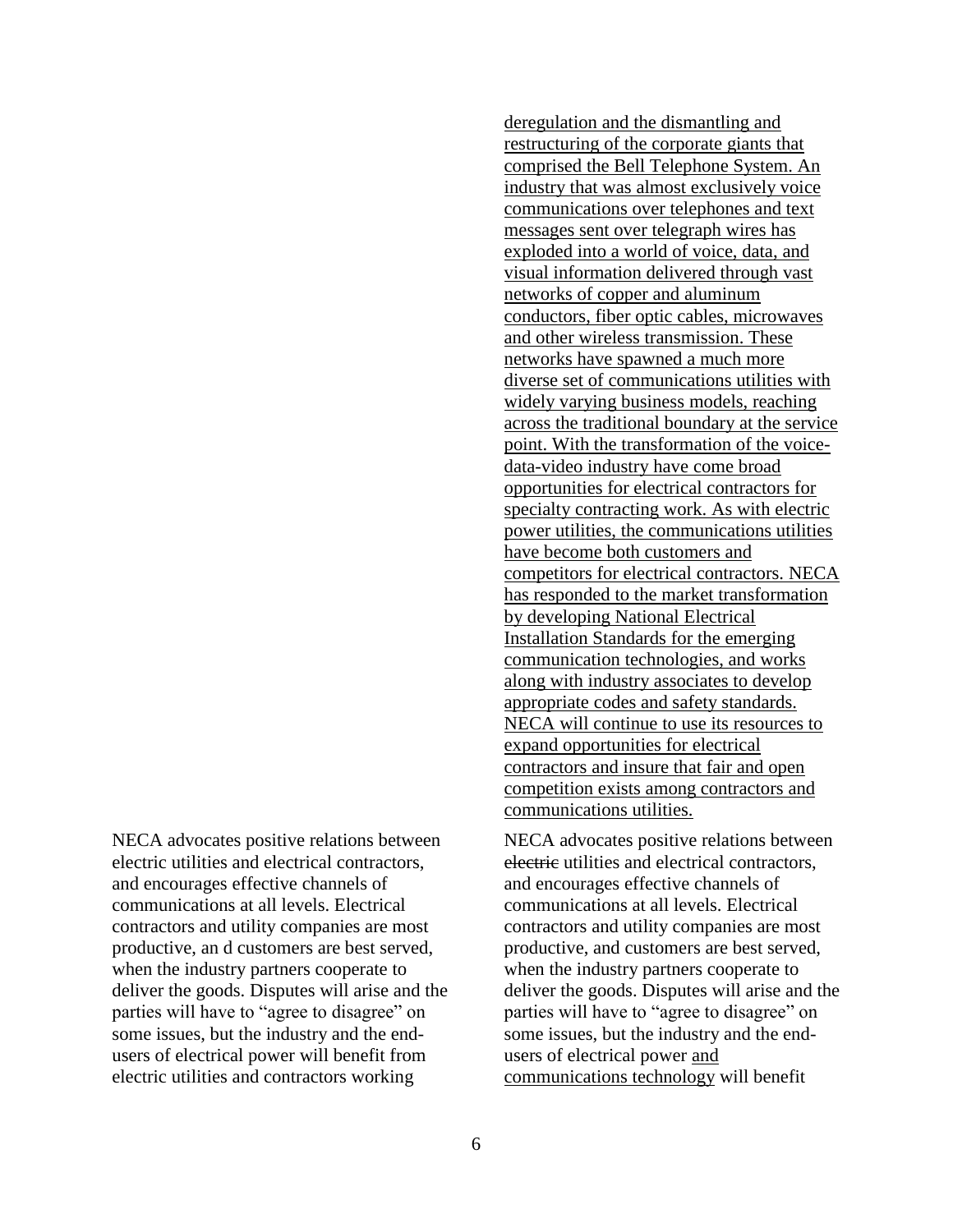NECA advocates positive relations between electric utilities and electrical contractors, and encourages effective channels of communications at all levels. Electrical contractors and utility companies are most productive, an d customers are best served, when the industry partners cooperate to deliver the goods. Disputes will arise and the parties will have to "agree to disagree" on some issues, but the industry and the endusers of electrical power will benefit from electric utilities and contractors working

deregulation and the dismantling and restructuring of the corporate giants that comprised the Bell Telephone System. An industry that was almost exclusively voice communications over telephones and text messages sent over telegraph wires has exploded into a world of voice, data, and visual information delivered through vast networks of copper and aluminum conductors, fiber optic cables, microwaves and other wireless transmission. These networks have spawned a much more diverse set of communications utilities with widely varying business models, reaching across the traditional boundary at the service point. With the transformation of the voicedata-video industry have come broad opportunities for electrical contractors for specialty contracting work. As with electric power utilities, the communications utilities have become both customers and competitors for electrical contractors. NECA has responded to the market transformation by developing National Electrical Installation Standards for the emerging communication technologies, and works along with industry associates to develop appropriate codes and safety standards. NECA will continue to use its resources to expand opportunities for electrical contractors and insure that fair and open competition exists among contractors and communications utilities.

NECA advocates positive relations between electric utilities and electrical contractors, and encourages effective channels of communications at all levels. Electrical contractors and utility companies are most productive, and customers are best served, when the industry partners cooperate to deliver the goods. Disputes will arise and the parties will have to "agree to disagree" on some issues, but the industry and the endusers of electrical power and communications technology will benefit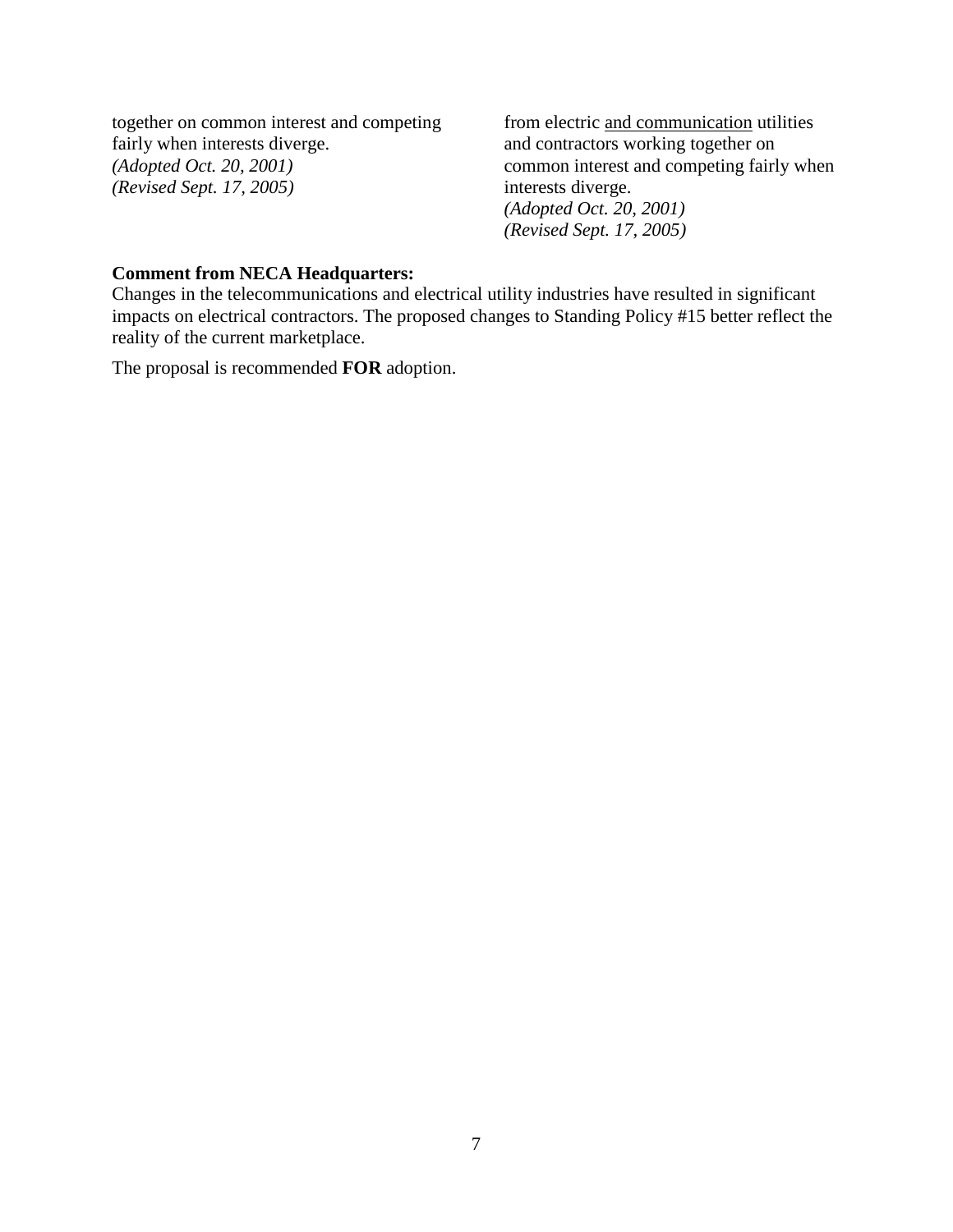together on common interest and competing fairly when interests diverge. *(Adopted Oct. 20, 2001) (Revised Sept. 17, 2005)*

from electric and communication utilities and contractors working together on common interest and competing fairly when interests diverge. *(Adopted Oct. 20, 2001) (Revised Sept. 17, 2005)*

## **Comment from NECA Headquarters:**

Changes in the telecommunications and electrical utility industries have resulted in significant impacts on electrical contractors. The proposed changes to Standing Policy #15 better reflect the reality of the current marketplace.

The proposal is recommended **FOR** adoption.